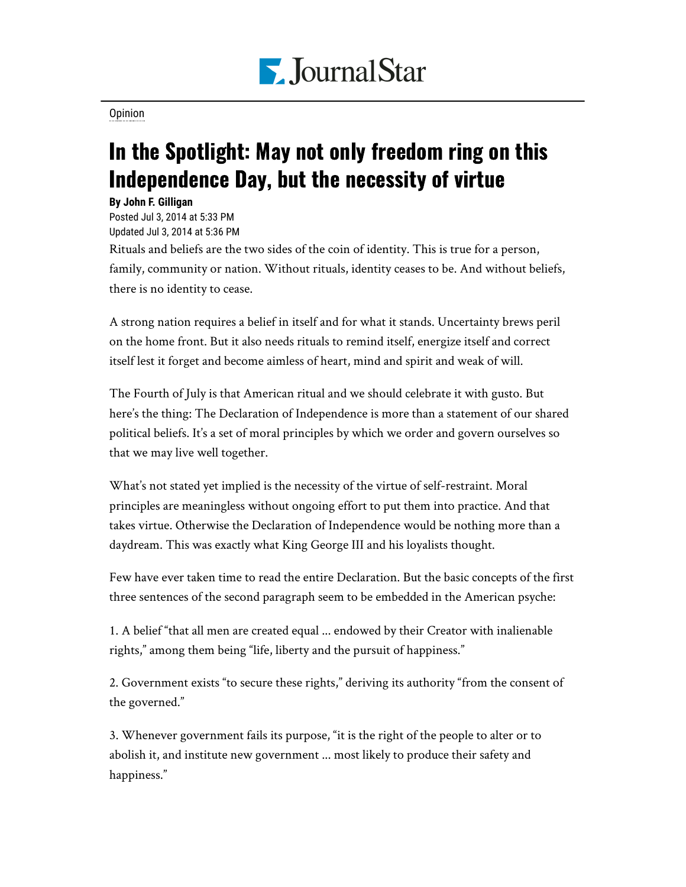

[Opinion](https://www.pjstar.com/search?text=Opinion)

## In the Spotlight: May not only freedom ring on this Independence Day, but the necessity of virtue

## **By John F. Gilligan**

Posted Jul 3, 2014 at 5:33 PM Updated Jul 3, 2014 at 5:36 PM

Rituals and beliefs are the two sides of the coin of identity. This is true for a person, family, community or nation. Without rituals, identity ceases to be. And without beliefs, there is no identity to cease.

A strong nation requires a belief in itself and for what it stands. Uncertainty brews peril on the home front. But it also needs rituals to remind itself, energize itself and correct itself lest it forget and become aimless of heart, mind and spirit and weak of will.

The Fourth of July is that American ritual and we should celebrate it with gusto. But here's the thing: The Declaration of Independence is more than a statement of our shared political beliefs. It's a set of moral principles by which we order and govern ourselves so that we may live well together.

What's not stated yet implied is the necessity of the virtue of self-restraint. Moral principles are meaningless without ongoing effort to put them into practice. And that takes virtue. Otherwise the Declaration of Independence would be nothing more than a daydream. This was exactly what King George III and his loyalists thought.

Few have ever taken time to read the entire Declaration. But the basic concepts of the first three sentences of the second paragraph seem to be embedded in the American psyche:

1. A belief "that all men are created equal ... endowed by their Creator with inalienable rights," among them being "life, liberty and the pursuit of happiness."

2. Government exists "to secure these rights," deriving its authority "from the consent of the governed."

3. Whenever government fails its purpose, "it is the right of the people to alter or to abolish it, and institute new government ... most likely to produce their safety and happiness."